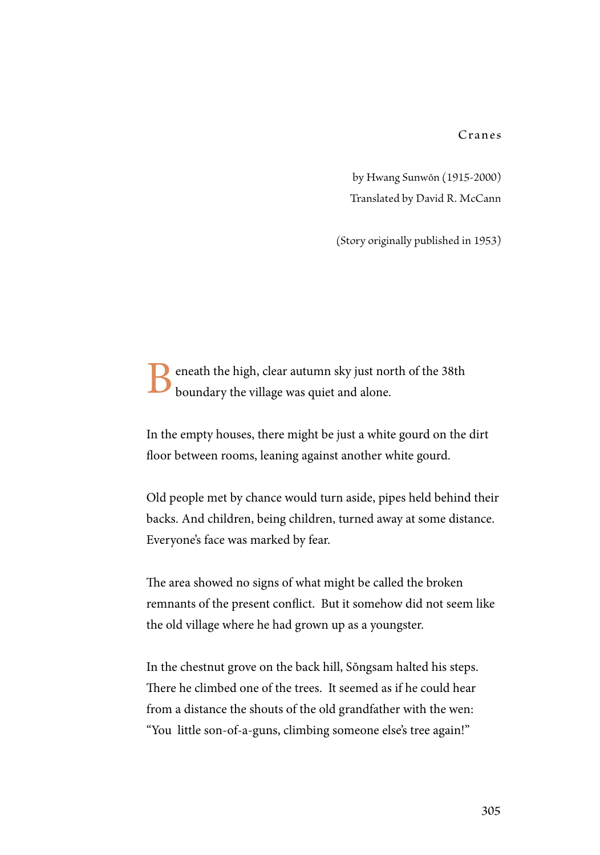Cranes

by Hwang Sunwŏn (1915-2000) Translated by David R. McCann

(Story originally published in 1953)

eneath the high, clear autumn sky just north of the 38th boundary the village was quiet and alone.

In the empty houses, there might be just a white gourd on the dirt floor between rooms, leaning against another white gourd.

Old people met by chance would turn aside, pipes held behind their backs. And children, being children, turned away at some distance. Everyone's face was marked by fear.

The area showed no signs of what might be called the broken remnants of the present conflict. But it somehow did not seem like the old village where he had grown up as a youngster.

In the chestnut grove on the back hill, Sŏngsam halted his steps. There he climbed one of the trees. It seemed as if he could hear from a distance the shouts of the old grandfather with the wen: "You little son-of-a-guns, climbing someone else's tree again!"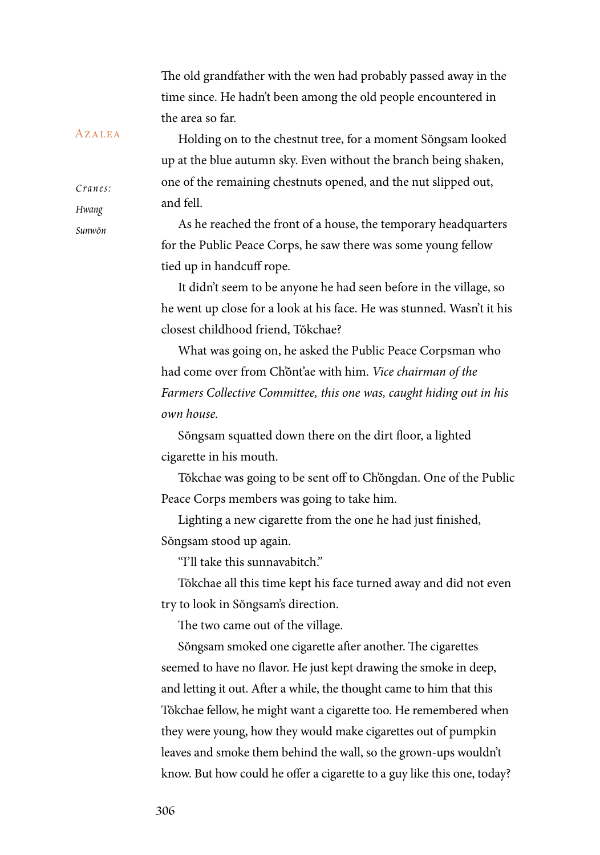The old grandfather with the wen had probably passed away in the time since. He hadn't been among the old people encountered in the area so far.

Holding on to the chestnut tree, for a moment Sŏngsam looked up at the blue autumn sky. Even without the branch being shaken, one of the remaining chestnuts opened, and the nut slipped out, and fell.

As he reached the front of a house, the temporary headquarters for the Public Peace Corps, he saw there was some young fellow tied up in handcuff rope.

It didn't seem to be anyone he had seen before in the village, so he went up close for a look at his face. He was stunned. Wasn't it his closest childhood friend, Tŏkchae?

What was going on, he asked the Public Peace Corpsman who had come over from Ch'ŏnt'ae with him. *Vice chairman of the Farmers Collective Committee, this one was, caught hiding out in his own house.*

Sŏngsam squatted down there on the dirt floor, a lighted cigarette in his mouth.

Tŏkchae was going to be sent off to Ch'ŏngdan. One of the Public Peace Corps members was going to take him.

Lighting a new cigarette from the one he had just finished, Sŏngsam stood up again.

"I'll take this sunnavabitch."

Tŏkchae all this time kept his face turned away and did not even try to look in Sŏngsam's direction.

The two came out of the village.

Sŏngsam smoked one cigarette after another. The cigarettes seemed to have no flavor. He just kept drawing the smoke in deep, and letting it out. After a while, the thought came to him that this Tŏkchae fellow, he might want a cigarette too. He remembered when they were young, how they would make cigarettes out of pumpkin leaves and smoke them behind the wall, so the grown-ups wouldn't know. But how could he offer a cigarette to a guy like this one, today?

## **AZALEA**

*C r a n e s : Hwang Sunwŏn*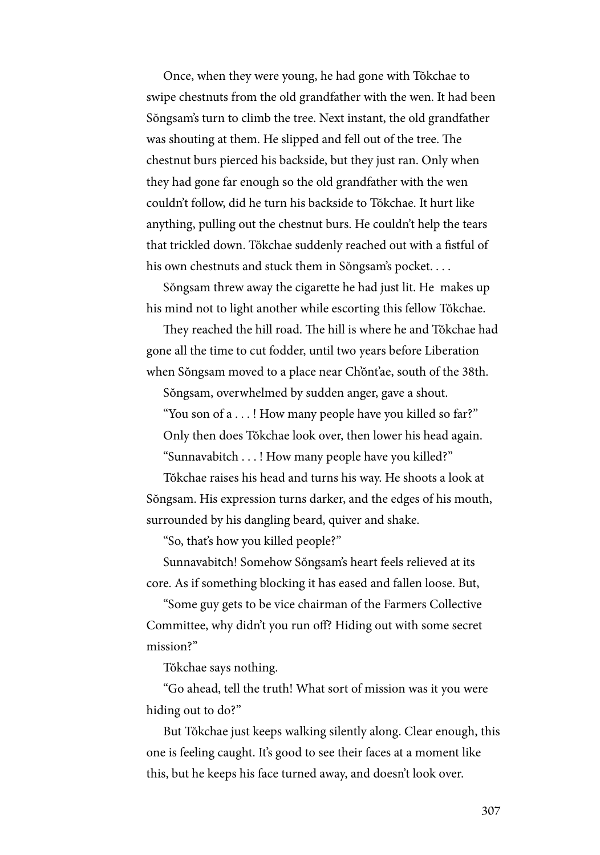Once, when they were young, he had gone with Tŏkchae to swipe chestnuts from the old grandfather with the wen. It had been Sŏngsam's turn to climb the tree. Next instant, the old grandfather was shouting at them. He slipped and fell out of the tree. The chestnut burs pierced his backside, but they just ran. Only when they had gone far enough so the old grandfather with the wen couldn't follow, did he turn his backside to Tŏkchae. It hurt like anything, pulling out the chestnut burs. He couldn't help the tears that trickled down. Tŏkchae suddenly reached out with a fistful of his own chestnuts and stuck them in Sŏngsam's pocket. . . .

Sŏngsam threw away the cigarette he had just lit. He makes up his mind not to light another while escorting this fellow Tŏkchae.

They reached the hill road. The hill is where he and Tŏkchae had gone all the time to cut fodder, until two years before Liberation when Sŏngsam moved to a place near Ch'ŏnt'ae, south of the 38th.

Sŏngsam, overwhelmed by sudden anger, gave a shout.

"You son of a . . . ! How many people have you killed so far?" Only then does Tŏkchae look over, then lower his head again. "Sunnavabitch . . . ! How many people have you killed?"

Tŏkchae raises his head and turns his way. He shoots a look at Sŏngsam. His expression turns darker, and the edges of his mouth, surrounded by his dangling beard, quiver and shake.

"So, that's how you killed people?"

Sunnavabitch! Somehow Sŏngsam's heart feels relieved at its core. As if something blocking it has eased and fallen loose. But,

"Some guy gets to be vice chairman of the Farmers Collective Committee, why didn't you run off? Hiding out with some secret mission?"

Tŏkchae says nothing.

"Go ahead, tell the truth! What sort of mission was it you were hiding out to do?"

But Tŏkchae just keeps walking silently along. Clear enough, this one is feeling caught. It's good to see their faces at a moment like this, but he keeps his face turned away, and doesn't look over.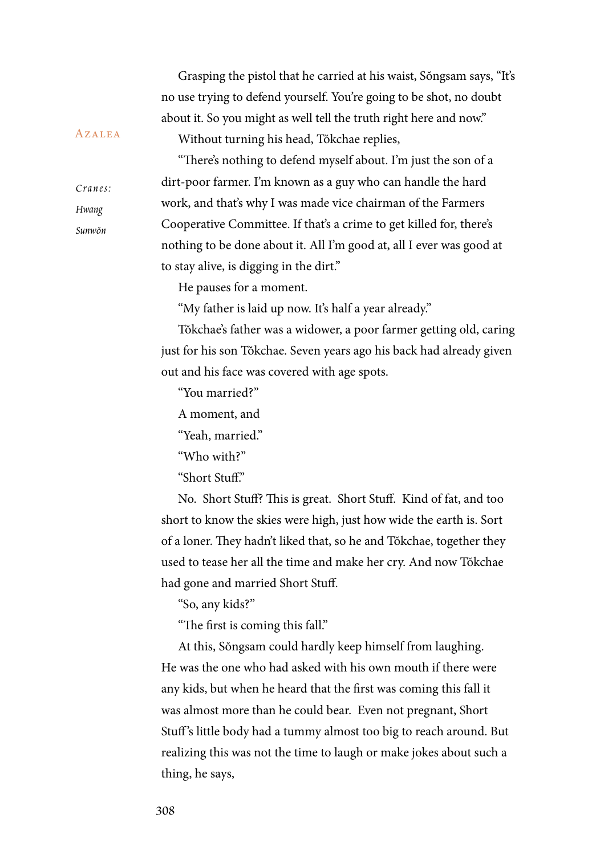*C r a n e s : Sunwŏn* **AZALEA** Grasping the pistol that he carried at his waist, Sŏngsam says, "It's no use trying to defend yourself. You're going to be shot, no doubt about it. So you might as well tell the truth right here and now." Without turning his head, Tŏkchae replies, "There's nothing to defend myself about. I'm just the son of a dirt-poor farmer. I'm known as a guy who can handle the hard work, and that's why I was made vice chairman of the Farmers Cooperative Committee. If that's a crime to get killed for, there's nothing to be done about it. All I'm good at, all I ever was good at to stay alive, is digging in the dirt." He pauses for a moment. "My father is laid up now. It's half a year already." Tŏkchae's father was a widower, a poor farmer getting old, caring just for his son Tŏkchae. Seven years ago his back had already given out and his face was covered with age spots.

"You married?"

A moment, and

"Yeah, married."

"Who with?"

"Short Stuff."

No. Short Stuff? This is great. Short Stuff. Kind of fat, and too short to know the skies were high, just how wide the earth is. Sort of a loner. They hadn't liked that, so he and Tŏkchae, together they used to tease her all the time and make her cry. And now Tŏkchae had gone and married Short Stuff.

"So, any kids?"

"The first is coming this fall."

At this, Sŏngsam could hardly keep himself from laughing. He was the one who had asked with his own mouth if there were any kids, but when he heard that the first was coming this fall it was almost more than he could bear. Even not pregnant, Short Stuff 's little body had a tummy almost too big to reach around. But realizing this was not the time to laugh or make jokes about such a thing, he says,

*Hwang*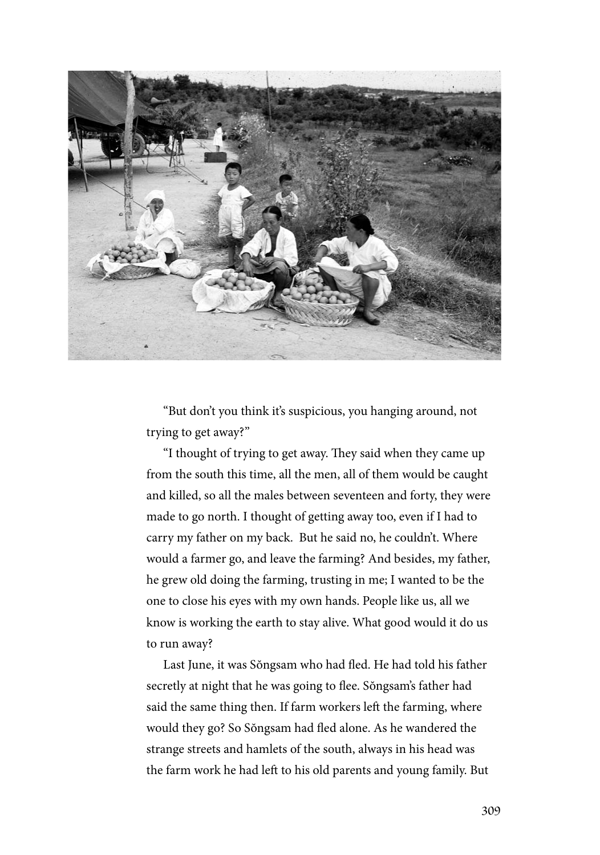

"But don't you think it's suspicious, you hanging around, not trying to get away?"

"I thought of trying to get away. They said when they came up from the south this time, all the men, all of them would be caught and killed, so all the males between seventeen and forty, they were made to go north. I thought of getting away too, even if I had to carry my father on my back. But he said no, he couldn't. Where would a farmer go, and leave the farming? And besides, my father, he grew old doing the farming, trusting in me; I wanted to be the one to close his eyes with my own hands. People like us, all we know is working the earth to stay alive. What good would it do us to run away?

Last June, it was Sŏngsam who had fled. He had told his father secretly at night that he was going to flee. Sŏngsam's father had said the same thing then. If farm workers left the farming, where would they go? So Sŏngsam had fled alone. As he wandered the strange streets and hamlets of the south, always in his head was the farm work he had left to his old parents and young family. But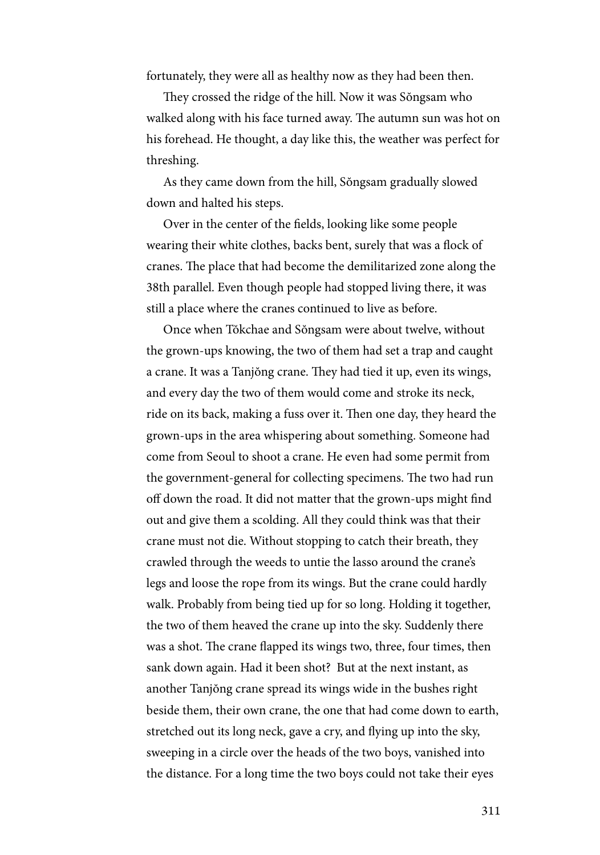fortunately, they were all as healthy now as they had been then.

They crossed the ridge of the hill. Now it was Sŏngsam who walked along with his face turned away. The autumn sun was hot on his forehead. He thought, a day like this, the weather was perfect for threshing.

As they came down from the hill, Sŏngsam gradually slowed down and halted his steps.

Over in the center of the fields, looking like some people wearing their white clothes, backs bent, surely that was a flock of cranes. The place that had become the demilitarized zone along the 38th parallel. Even though people had stopped living there, it was still a place where the cranes continued to live as before.

Once when Tŏkchae and Sŏngsam were about twelve, without the grown-ups knowing, the two of them had set a trap and caught a crane. It was a Tanjŏng crane. They had tied it up, even its wings, and every day the two of them would come and stroke its neck, ride on its back, making a fuss over it. Then one day, they heard the grown-ups in the area whispering about something. Someone had come from Seoul to shoot a crane. He even had some permit from the government-general for collecting specimens. The two had run off down the road. It did not matter that the grown-ups might find out and give them a scolding. All they could think was that their crane must not die. Without stopping to catch their breath, they crawled through the weeds to untie the lasso around the crane's legs and loose the rope from its wings. But the crane could hardly walk. Probably from being tied up for so long. Holding it together, the two of them heaved the crane up into the sky. Suddenly there was a shot. The crane flapped its wings two, three, four times, then sank down again. Had it been shot? But at the next instant, as another Tanjŏng crane spread its wings wide in the bushes right beside them, their own crane, the one that had come down to earth, stretched out its long neck, gave a cry, and flying up into the sky, sweeping in a circle over the heads of the two boys, vanished into the distance. For a long time the two boys could not take their eyes